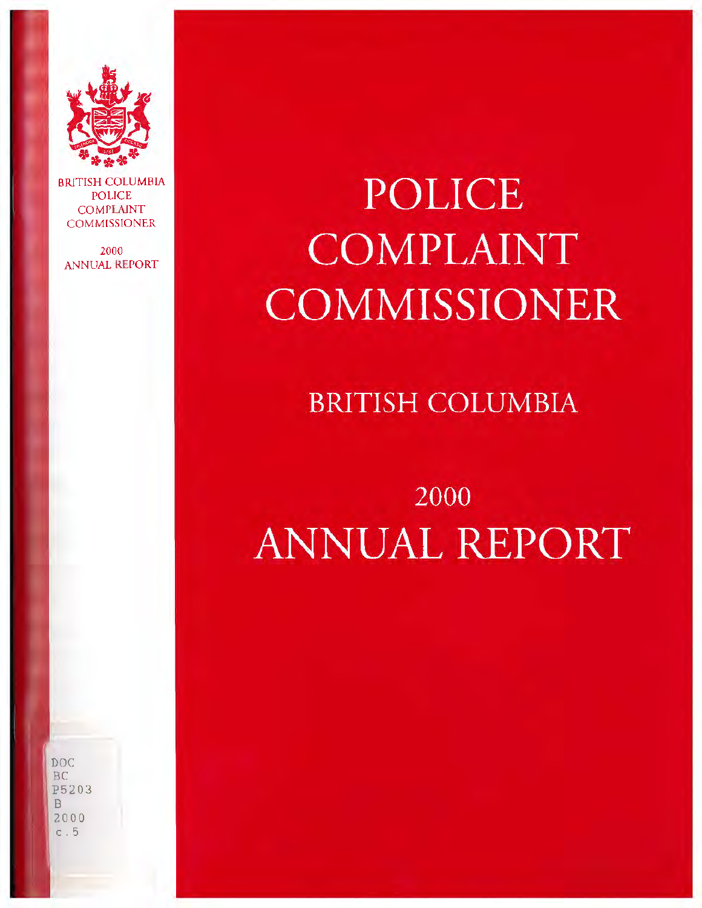

 BRITISH COLUMBIA POLICE COMPLAlNT **COMMISSIONER** 

2000 ANNUAL REPORT

# **POLICE COMPLAINT COMMISSIONER**

### **BRITISH COLUMBIA**

# **2000 ANNUAL REPORT**

DOC BC P5203 B 2000  $c.5$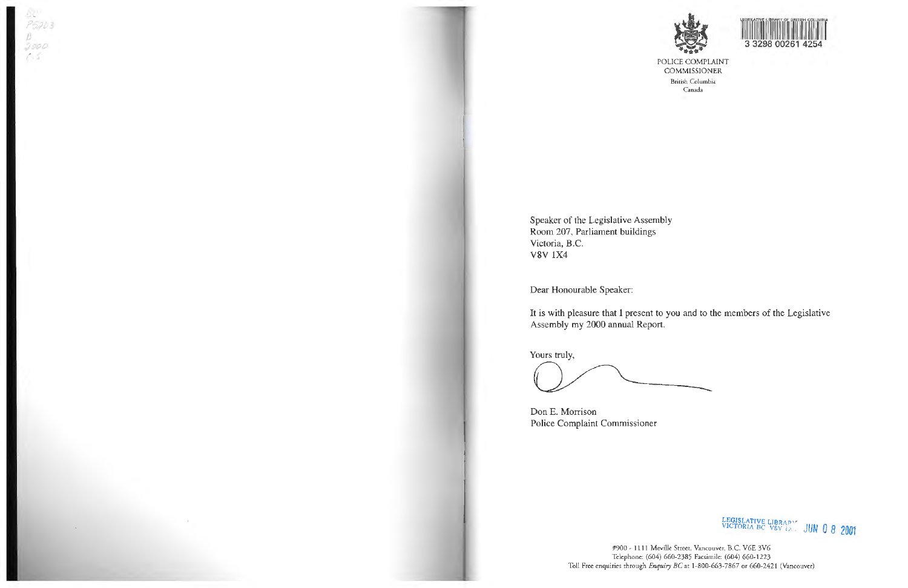

#### POLICE COMPLAINT COMMISSJONER

British Columbia Canada

Speaker of the Legislative Assembly Room 207, Parliament buildings Victoria, 8.C. V8V 1X4

Dear Honourable Speaker:



#900 - 1111 Meville Street, Vancouver, B.C. VGE 3V6 Telephone: (604) 660-238S Facsimile: (604) 660-1223 Toll Free enquiries through *Enquiry BC* at 1-800-663-7867 or 660-2421 (Vancouver)

It is with pleasure that **1** present to you and to the members of the Legislative Assembly my 2000 annual Report.

Yours truly,

Don E. Morrison Police Complaint Commissioner

LEGISLA TrVE LIB RA *n"*  VICTORIA BC vsv *u .* . JUN o 8 **2001**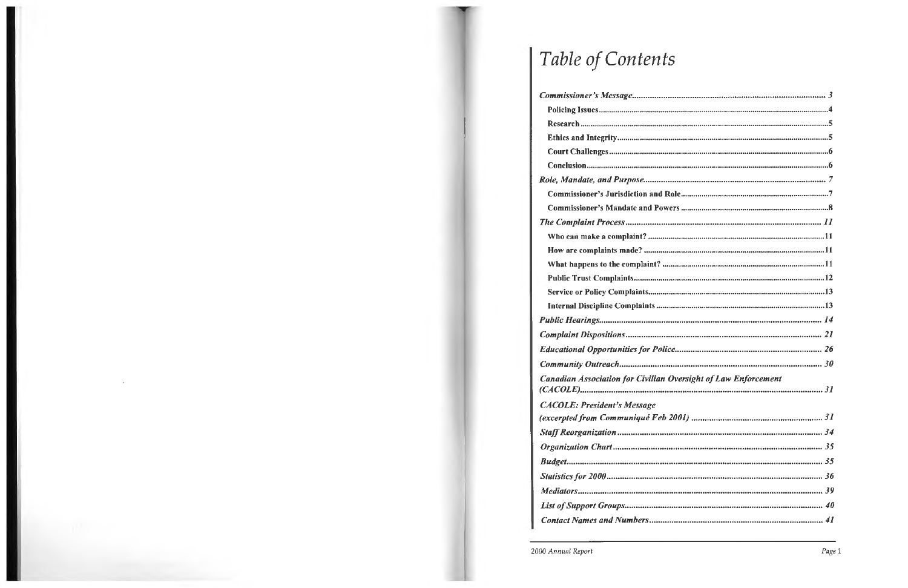# Table of Contents

| <b>Canadian Association for Civilian Oversight of Law Enforcement</b> |
|-----------------------------------------------------------------------|
|                                                                       |
|                                                                       |
|                                                                       |
| <b>CACOLE: President's Message</b>                                    |
|                                                                       |
|                                                                       |
|                                                                       |
|                                                                       |

 $\sim$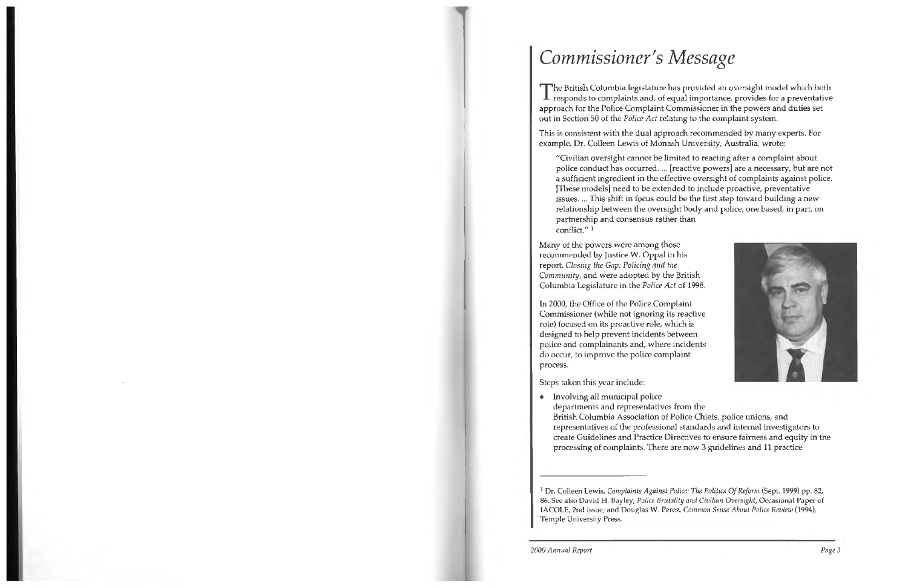## *Commissioner's Message*

The British Columbia legislature has provided an oversight model which both responds to complaints and, of equal importance, provides for a preventative approach for the Police Complaint Commissioner in the powers and duties set out in Section 50 of the *Police Act* relating to the complaint system.

This is consistent with the dual approach recommended by many experts. For example, Dr. Colleen Lewis of Monash University, Australia, wrote:

"Civilian oversight cannot be limited to reacting after a complaint about police conduct has occurred. ... [reactive powers] are a necessary, but are not a sufficient ingredient in the effective oversight of complaints against police. [These models] need to be extended to include proactive, preventative issues .... This shift in focus could be the first step toward building a new relationship between the oversight body and police, one based, in part, on



partnership and consensus rather than conflict." 1

Many of the powers were among those recommended by Justice W. Oppal in his report, *Closing the Gap: Policing and the Community,* and were adopted by the British Columbia Legislature in the *Police Act* of 1998.

In 2000, the Office of the Police Complaint Commissioner (while not ignoring its reactive role) focused on its proactive role, which is designed to help prevent incidents between police and complainants and, where incidents do occur, to improve the police complaint process.

Steps taken this year include:

• Involving all municipal police departments and representatives from the

British Columbia Association of Police Chiefs, police unions, and representatives of the professional standards and internal investigators to create Guidelines and Practice Directives to ensure fairness and equity in the processing of complaints. There are now 3 guidelines and 11 practice

<sup>1</sup>**Dr.** Colleen Lewis, *Complaints Against Police: The Politics Of Reform* (Sept. 1999) pp. 82, 86. See also David **H.** Bayley, *Police Brutality and Civilian Oversight,* Occasional Paper of IACOLE, 2nd issue; and Douglas W. Perez, *Common Sense About Police Review* (1994), Temple University Press.

2000 *Annual Report Page* 3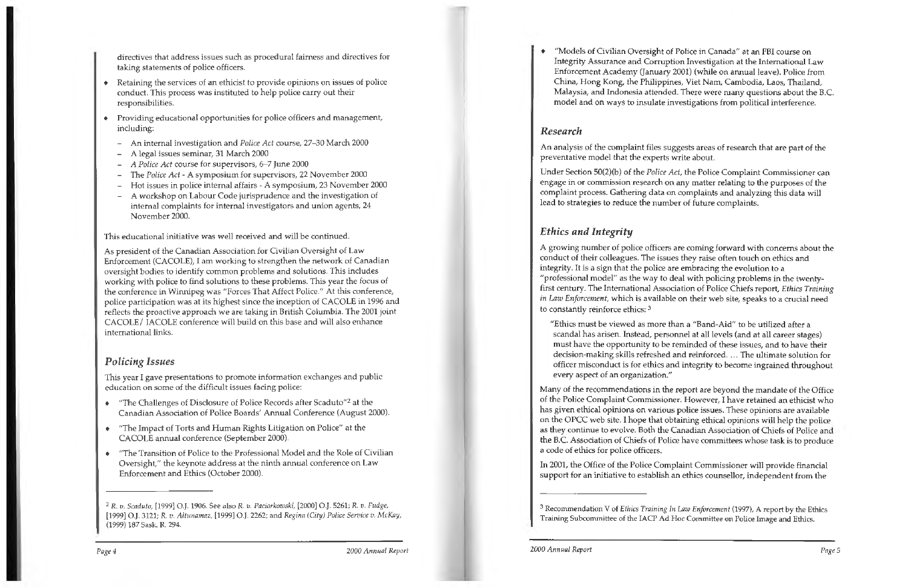directives that address issues such as procedural fairness and directives for taking statements of police officers.

- Retaining the services of an ethicist to provide opinions on issues of police conduct. This process was instituted to help police carry out their responsibilities.
- Providing educational opportunities for police officers and management, including:
	- An internal investigation and *Police Act* course, 27-30 March 2000
	- A legal issues seminar, 31 March 2000
	- *A Police Act* course for supervisors, 6-7 June 2000
	- The *Police Act*  A symposium for supervisors, 22 November 2000
	- Hot issues in police internal affairs A symposium, 23 November 2000
	- A workshop on Labour Code jurisprudence and the investigation of internal complaints for internal investigators and union agents, 24 November 2000.

This educational initiative was well received and will be continued.

- "The Challenges of Disclosure of Police Records after Scaduto"<sup>2</sup> at the Canadian Association of Police Boards' Annual Conference (August 2000).
- "The Impact of Torts and Human Rights Litigation on Police" at the CACOLE annual conference (September 2000).
- "The Transition of Police to the Professional Model and the Role of Civilian  $\bullet$ Oversight," the keynote address at the ninth annual conference on Law Enforcement and Ethics (October 2000).

As president of the Canadian Association for Civilian Oversight of Law Enforcement (CACOLE), I am working to strengthen the network of Canadian oversight bodies to identify common problems and solutions. This includes working with police to find solutions to these problems. This year the focus of the conference in Winnipeg was "Forces That Affect Police." At this conference, police participation was at its highest since the inception of CACOLE in 1996 and reflects the proactive approach we are taking in British Columbia. The 2001 joint CACOLE/ IACOLE conference will build on this base and will also enhance international links.

### *Policing Issues*

This year I gave presentations to promote information exchanges and public education on some of the difficult issues facing police:

"Models of Civilian Oversight of Police in Canada" at an FBI course on Integrity Assurance and Corruption Investigation at the International Law Enforcement Academy (January 2001) (while on annual leave). Police from China, Hong Kong, the Philippines, Viet Nam, Cambodia, Laos, Thailand, Malaysia, and Indonesia attended. There were many questions about the B.C. model and on ways to insulate investigations from political interference.

### *Research*

An analysis of the complaint files suggests areas of research that are part of the preventative model that the experts write about.

Under Section 50(2)(b) of the *Police Act,* the Police Complaint Commissioner can engage in or commission research on any matter relating to the purposes of the complaint process. Gathering data on complaints and analyzing this data will lead to strategies to reduce the number of future complaints.

### *Ethics and Integrity*

A growing number of police officers are coming forward with concerns about the conduct of their colleagues. The issues they raise often touch on ethics and integrity. It is a sign that the police are embracing the evolution to a "professional model" as the way to deal with policing problems in the twenty- ~irst century. The International Association of Police Chiefs report, *Ethics Training in* Law *Enforcement,* which is available on their web site, speaks to a crucial need to constantly reinforce ethics: <sup>3</sup>

"Ethics must be viewed as more than a "Band-Aid" to be utilized after a scandal has arisen. Instead, personnel at all levels (and at all career stages) must have the opportunity to be reminded of these issues, and to have their decision-making skills refreshed and reinforced .... The ultimate solution for officer misconduct is for ethics and integrity to become ingrained throughout every aspect of an organization."

Many of the recommendations in the report are beyond the mandate of the Office of the Police Complaint Commissioner. However, I have retained an ethicist who has given ethical opinions on various police issues. These opinions are available on the OPCC web site. I hope that obtaining ethical opinions will help the police as they continue to evolve. Both the Canadian Association of Chiefs of Police and the B.C. Association of Chiefs of Police have committees whose task is to produce a code of ethics for police officers.

In 2001, the Office of the Police Complaint Commissioner will provide financial support for an initiative to establish an ethics counsellor, independent from the

<sup>3</sup>Recommendation V of *Ethics Training In Law Enforcement* (1997), A report by the Ethics Training Subcommittee of the IACP Ad Hoc Committee on Police Image and Ethics.

<sup>2</sup> R. *v. Scaduto,* (1999] O.J. 1906. See also *R. v. Paciorkowski,* [2000] O.J. 5261; R. *v. Fudge,*  (1999] O.J. 3121; R *v. Altunamaz,* [1999] O.J. 2262; and *Regina (City) Police Service v. McKay,*  (1999) 187 Sask. R. 294.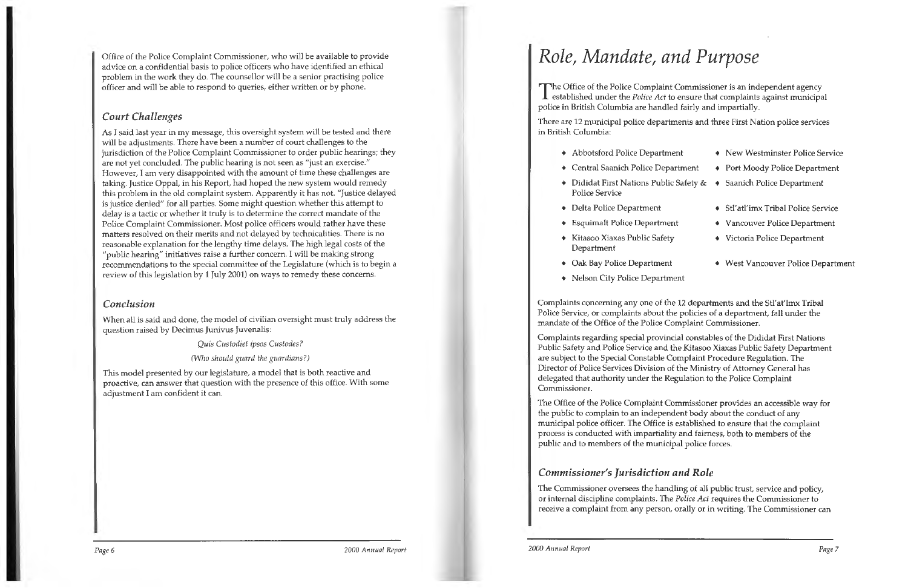Office of the Police Complaint Commissioner, who will be available to provide advice on a confidential basis to police officers who have identified an ethical problem in the work they do. The counsellor will be a senior practising police officer and will be able to respond to queries, either written or by phone.

### *Court Challenges*

As I said last year in my message, this oversight system will be tested and there will be adjustments. There have been a number of court challenges to the jurisdiction of the Police Complaint Commissioner to order public hearings; they are not yet concluded. The public hearing is not seen as "just an exercise." However, I am very disappointed with the amount of time these challenges are taking. Justice Oppal, in his Report, had hoped the new system would remedy this problem in the old complaint system. Apparently it has not. "Justice delayed is justice denied" for all parties. Some might question whether this attempt to delay is a tactic or whether it truly is to determine the correct mandate of the Police Complaint Commissioner. Most police officers would rather have these matters resolved on their merits and not delayed by technicalities. There is no reasonable explanation for the lengthy time delays. The high legal costs of the "public hearing" initiatives raise a further concern. I will be making strong recommendations to the special committee of the Legislature (which is to begin a review of this legislation by 1 July 2001) on ways to remedy these concerns.

The Office of the Police Complaint Commissioner is an independent agency<br>established under the *Police Act* to ensure that complaints against municipal police in British Columbia are handled fairly and impartially.

#### *Conclusion*

When all is said and done, the model of civilian oversight must truly address the question raised by Decimus Junivus Juvenalis:

*Quis Custodiet ipsos Custodes?* 

*(Who should guard the guardians?)* 

This model presented by our legislature, a model that is both reactive and proactive, can answer that question with the presence of this office. With some adjustment I am confident it can.

## *Role, Mandate, and Purpose*

There are 12 municipal police departments and three First Nation police services in British Columbia:

- $\triangleleft$  Abbotsford Police Department  $\triangleleft$
- $\triangleleft$  Central Saanich Police Dep
- $\triangleleft$  Dididat First Nations Publ Police Service
- Delta Police Department
- $\bullet$  Esquimalt Police Departm
- $\bullet$  Kitasoo Xiaxas Public Safety Department
- $\bullet$  Oak Bay Police Department
- Nelson City Police Department

| nent     | • New Westminster Police Service        |
|----------|-----------------------------------------|
| partment | • Port Moody Police Department          |
|          | ic Safety & → Saanich Police Department |
|          |                                         |
|          | • Stl'atl'imx Tribal Police Service     |
| ent      | • Vancouver Police Department           |
| tγ       | • Victoria Police Department            |
|          |                                         |
| ıt       | • West Vancouver Police Department      |
| nent     |                                         |
|          |                                         |

Complaints concerning any one of the 12 departments and the Stl'at'lmx Tribal Police Service, or complaints about the policies of a department, fall under the mandate of the Office of the Police Complaint Commissioner.

Complaints regarding special provincial constables of the Dididat First Nations Public Safety and Police Service and the Kitasoo Xiaxas Public Safety Department are subject to the Special Constable Complaint Procedure Regulation. The Director of Police Services Division of the Ministry of Attorney General has delegated that authority under the Regulation to the Police Complaint Commissioner.

The Office of the Police Complaint Commissioner provides an accessible way for the public to complain to an independent body about the conduct of any municipal police officer. The Office is established to ensure that the complaint process is conducted with impartiality and fairness, both to members of the public and to members of the municipal police forces.

### *Commissioner's Jurisdiction and Role*

The Commissioner oversees the handling of all public trust, service and policy, or internal discipline complaints. The *Police Act* requires the Commissioner to receive a complaint from any person, orally or in writing. The Commissioner can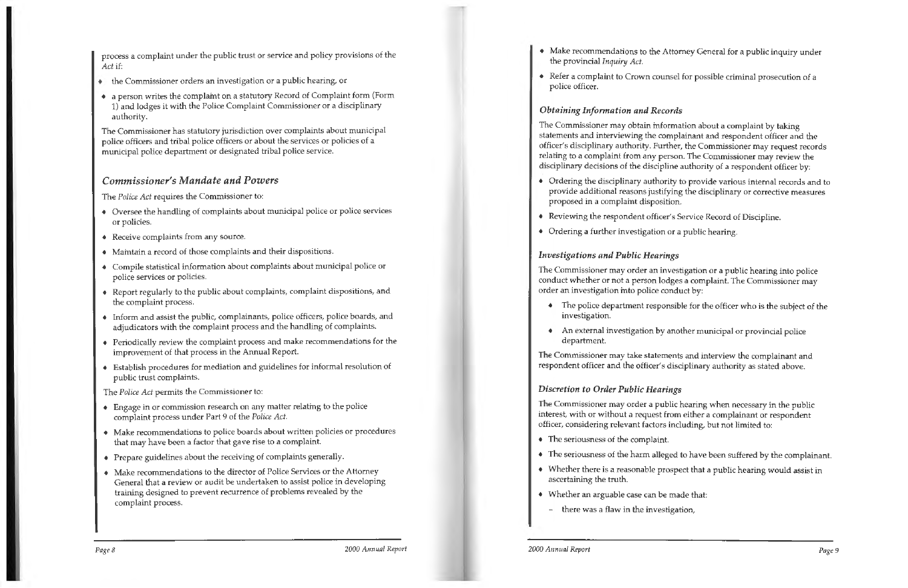process a complaint under the public trust or service and policy provisions of the *Act* if:

- the Commissioner orders an investigation or a public hearing, or
- a person writes the complaint on a statutory Record of Complaint form (Form 1) and lodges it **with** the Police Complaint Commissioner or a disciplinary authority.

The Commissioner has statutory jurisdiction over complaints about municipal police officers and tribal police officers or about the services or policies of a municipal police department or designated tribal police service.

#### *Commissioner's Mandate and Powers*

The *Police Act* requires the Commissioner to:

- Oversee the handling of complaints about municipal police or police services or policies.
- Receive complaints from any source.
- Maintain a record of those complaints and their dispositions.
- Compile statistical information about complaints about municipal police or police services or policies.
- Report regularly to the public about complaints, complaint dispositions, and the complaint process.
- Inform and assist the public, complainants, police officers, police boards, and adjudicators with the complaint process and the handling of complaints.
- Periodically review the complaint process and make recommendations for the improvement of that process in the Annual Report.
- Establish procedures for mediation and guidelines for informal resolution of public trust complaints.

The *Police Act* permits the Commissioner to:

- Engage in or commission research on any matter relating to the police complaint process under Part 9 of the *Police Act.*
- Make recommendations to police boards about written policies or procedures that may have been a factor that gave rise to a complaint.
- Prepare guidelines about the receiving of complaints generally.
- Make recommendations to the director of Police Services or the Attorney General that a review or audit be undertaken to assist police in developing training designed to prevent recurrence of problems revealed by the complaint process.

Make recommendations to the Attorney General for a public inquiry under

- the provincial *Inquiry Act.*
- police officer.

Refer a complaint to Crown counsel for possible criminal prosecution of a

#### *Obtaining Information and Records*

The Commissioner may obtain information about a complaint by taking statements and interviewing the complainant and respondent officer and the officer's disciplinary authority. Further, the Commissioner may request records relating to a complaint from any person. The Commissioner may review the disciplinary decisions of the discipline authority of a respondent officer by:

Ordering the disciplinary authority to provide various internal records and to provide additional reasons justifying the disciplinary or corrective measures

- proposed in a complaint disposition.
- Reviewing the respondent officer's Service Record of Discipline.
- Ordering a further investigation or a public hearing.

#### *Investigations and Public Hearings*

The Commissioner may order an investigation or a public hearing into police conduct whether or not a person lodges a complaint. The Commissioner may order an investigation into police conduct by:

The police department responsible for the officer who is the subject of the

- investigation.
- department.

• An external investigation by another municipal or provincial police

The Commissioner may take statements and interview the complainant and respondent officer and the officer's disciplinary authority as stated above.

### *Discretion to Order Public Hearings*

The Commissioner may order a public hearing when necessary in the public interest, with or without a request from either a complainant or respondent officer, considering relevant factors including, but not limited to:

The seriousness of the harm alleged to have been suffered by the complainant.

- The seriousness of the complaint.
- 
- ascertaining the truth.
- Whether an arguable case can be made that:
- there was a flaw in the investigation,

• Whether there is a reasonable prospect that a public hearing would assist in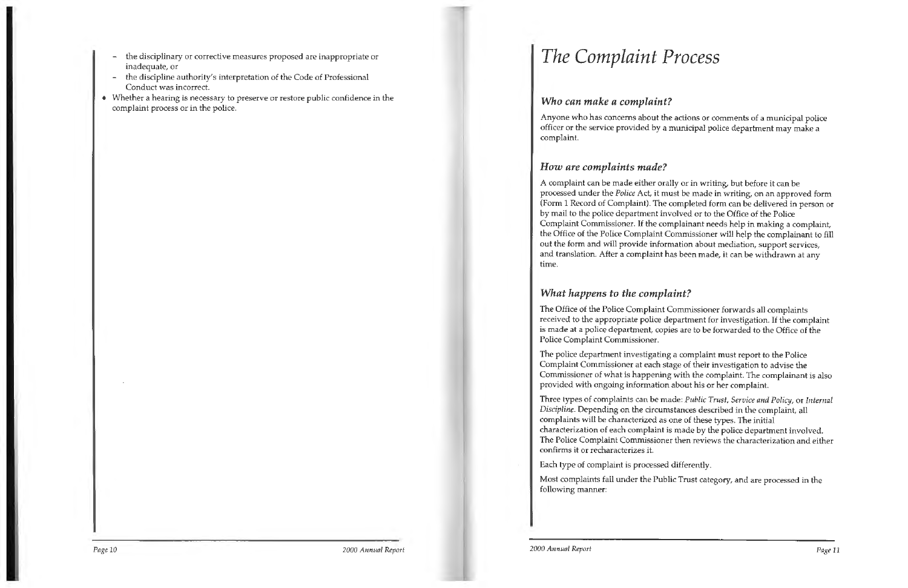- the disciplinary or corrective measures proposed are inappropriate or inadequate, or
- the discipline authority's interpretation of the Code of Professional Conduct was incorrect.
- Whether a hearing is necessary to preserve or restore public confidence in the complaint process or in the police.

## *The Complaint Process*

#### *Who can make a complaint?*

Anyone who has concerns about the actions or comments of a municipal police officer or the service provided by a municipal police department may make a complaint.

### *How are complaints made?*

A complaint can be made either orally or in writing, but before it can be processed under the *Police* Act, it must be made in writing, on an approved form (Form 1 Record of Complaint). The completed form can be delivered in person or by mail to the police department involved or to the Office of the Police Complaint Commissioner. If the complainant needs help in making a complaint, the Office of the Police Complaint Commissioner will help the complainant to fill out the form and will provide information about mediation, support services, and translation. After a complaint has been made, it can be withdrawn at any time.

### *What happens to the complaint?*

The Office of the Police Complaint Commissioner forwards all complaints received to the appropriate police department for investigation. If the complaint is made at a police department, copies are to be forwarded to the Office of the Police Complaint Commissioner.

The police department investigating a complaint must report to the Police Complaint Commissioner at each stage of their investigation to advise the Commissioner of what is happening with the complaint. The complainant is also provided with ongoing information about his or her complaint.

Three types of complaints can be made: *Public Trust, Service and Policy,* or *Internal Discipline.* Depending on the circumstances described in the complaint, all complaints will be characterized as one of these types. The initial characterization of each complaint is made by the police department involved. The Police Complaint Commissioner then reviews the characterization and either confirms it or recharacterizes it.

Each type of complaint is processed differently.

Most complaints fall under the Public Trust category, and are processed in the following manner: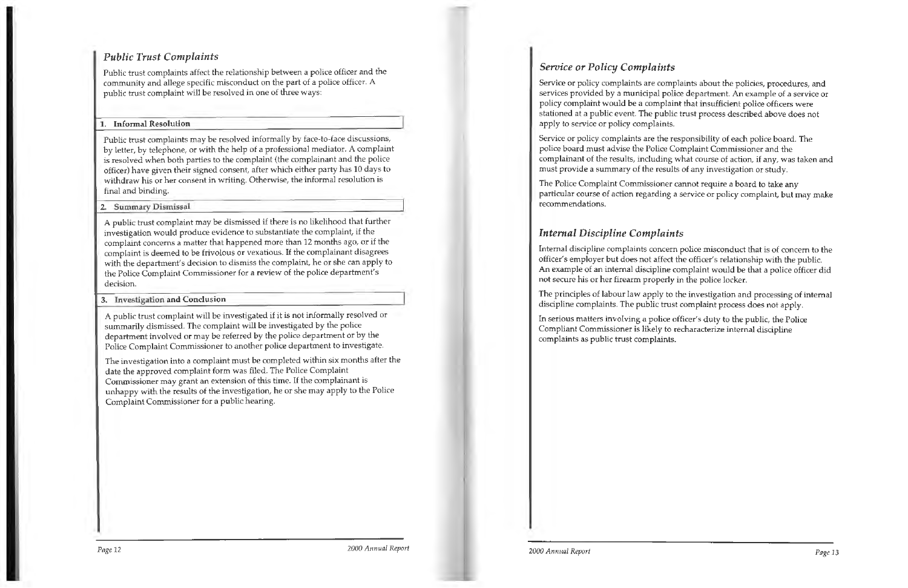### *Public Trust Complaints*

Public trust complaints affect the relationship between a police officer and the community and allege specific misconduct on the part of a police officer. A public trust complaint will be resolved in one of three ways:

#### **1. Informal Resolution**

Public trust complaints may be resolved informally by face-to-face discussions, by letter, by telephone, or with the help of a professional mediator. A complaint is resolved when both parties to the complaint (the complainant and the police officer) have given their signed consent, after which either party has 10 days to withdraw his or her consent in writing. Otherwise, the informal resolution is final and binding.

**2. Summary Dismissal** 

A public trust complaint may be dismissed if there is no likelihood that further investigation would produce evidence to substantiate the complaint, if the complaint concerns a matter that happened more than 12 months ago, or if the complaint is deemed to be frivolous or vexatious. If the complainant disagrees with the department's decision to dismiss the complaint, he or she can apply to the Police Complaint Commissioner for a review of the police department's decision.

#### **3.** Investigation and Conclusion

A public trust complaint will be investigated if it is not informally resolved or summarily dismissed. The complaint will be investigated by the police department involved or may be referred by the police department or by the Police Complaint Commissioner to another police department to investigate.

The principles of labour law apply to the investigation and processing of internal discipline complaints. The public trust complaint process does not apply.

The investigation into a complaint must be completed within six months after the date the approved complaint form was filed. The Police Complaint Commissioner may grant an extension of this time. If the complainant is unhappy with the results of the investigation, he or she may apply to the Police Complaint Commissioner for a public hearing.

### *Service or Policy Complaints*

Service or policy complaints are complaints about the policies, procedures, and services provided by a municipal police department. An example of a service or policy complaint would be a complaint that insufficient police officers were stationed at a public event. The public trust process described above does not apply to service or policy complaints.

Service or policy complaints are the responsibility of each police board. The police board must advise the Police Complaint Commissioner and the complainant of the results, including what course of action, if any, was taken and must provide a summary of the results of any investigation or study.

The Police Complaint Commissioner cannot require a board to take any particular course of action regarding a service or policy complaint, but may make recommendations.

### *Internal Discipline Complaints*

Internal discipline complaints concern police misconduct that is of concern to the officer's employer but does not affect the officer's relationship with the public. An example of an internal discipline complaint would be that a police officer did not secure his or her firearm properly in the police locker.

In serious matters involving a police officer's duty to the public, the Police Compliant Commissioner is likely to recharacterize internal discipline complaints as public trust complaints.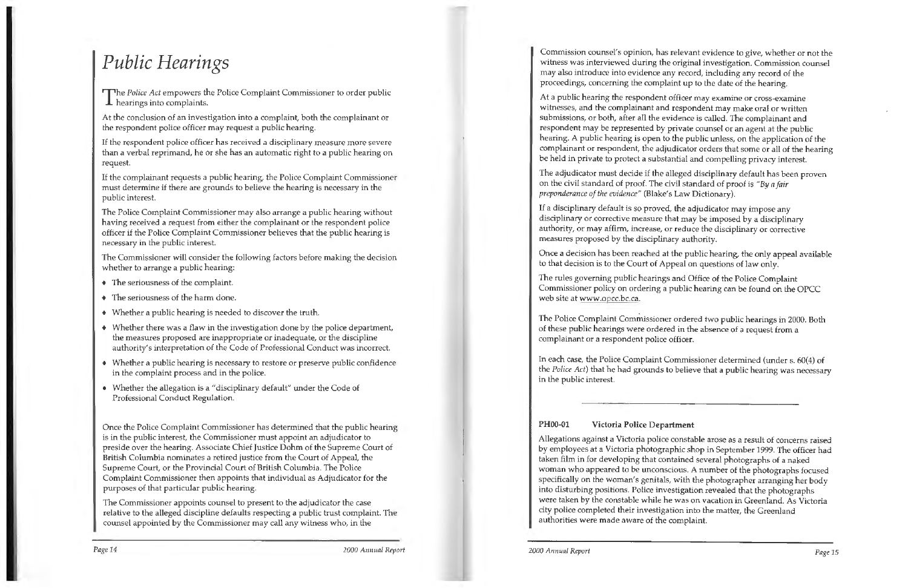## *Public Hearings*

The *Police Act* empowers the Police Complaint Commissioner to order public hearings into complaints.

At the conclusion of an investigation into a complaint, both the complainant or the respondent police officer may request a public hearing.

If the respondent police officer has received a disciplinary measure more severe than a verbal reprimand, he or she has an automatic right to a public hearing on request.

If the complainant requests a public hearing, the Police Complaint Commissioner must determine if there are grounds to believe the hearing is necessary in the public interest.

The Police Complaint Commissioner may also arrange a public hearing without having received a request from either the complainant or the respondent police officer if the Police Complaint Commissioner believes that the public hearing is necessary in the public interest.

The Commissioner will consider the following factors before making the decision whether to arrange a public hearing:

- The seriousness of the complaint.
- The seriousness of the harm done.
- Whether a public hearing is needed to discover the truth.
- Whether there was a flaw in the investigation done by the police department, the measures proposed are inappropriate or inadequate, or the discipline authority's interpretation of the Code of Professional Conduct was incorrect.
- Whether a public hearing is necessary to restore or preserve public confidence in the complaint process and in the police.
- Whether the allegation is a "disciplinary default" under the Code of Professional Conduct Regulation.

Once the Police Complaint Commissioner has determined that the public hearing is in the public interest, the Commissioner must appoint an adjudicator to preside over the hearing. Associate Chief Justice Dohm of the Supreme Court of British Columbia nominates a retired justice from the Court of Appeal, the Supreme Court, or the Provincial Court of British Columbia. The Police Complaint Commissioner then appoints that individual as Adjudicator for the purposes of that particular public hearing.

The Police Complaint Commissioner ordered two public hearings in 2000. Both of these public hearings were ordered in the absence of a request from a complainant or a respondent police officer.

The Commissioner appoints counsel to present to the adjudicator the case relative to the alleged discipline defaults respecting a public trust complaint. The counsel appointed by the Commissioner may call any witness who, in the

*Page 14 2000 Annual Report* 

Commission counsel's opinion, has relevant evidence to give, whether or not the witness was interviewed during the original investigation. Commission counsel may also introduce into evidence any record, including any record of the proceedings, concerning the complaint up to the date of the hearing.

At a public hearing the respondent officer may examine or cross-examine witnesses, and the complainant and respondent may make oral or written submissions, or both, after all the evidence is called. The complainant and respondent may be represented by private counsel or an agent at the public hearing. A public hearing is open to the public unless, on the application of the complainant or respondent, the adjudicator orders that some or all of the hearing be held in private to protect a substantial and compelling privacy interest.

The adjudicator must decide if the alleged disciplinary default has been proven on the civil standard of proof. The civil standard of proof is "By *a fair preponderance of the evidence"* (Blake's Law Dictionary).

If a disciplinary default is so proved, the adjudicator may impose any disciplinary or corrective measure that may be imposed by a disciplinary authority, or may affirm, increase, or reduce the disciplinary or corrective measures proposed by the disciplinary authority.

Once a decision has been reached at the public hearing, the only appeal available to that decision is to the Court of Appeal on questions of law only.

The rules governing public hearings and Office of the Police Complaint Commissioner policy on ordering a public hearing can be found on the OPCC web site at www.o pcc.bc.ca.

In each case, the Police Complaint Commissioner determined (under s. 60(4) of the *Police Act)* that he had grounds to believe that a public hearing was necessary in the public interest.

#### **PH00-O1 Victoria Police Department**

Allegations against a Victoria police constable arose as a result of concerns raised by employees at a Victoria photographic shop in September 1999. The officer had taken film in for developing that contained several photographs of a naked woman who appeared to be unconscious. A number of the photographs focused specifically on the woman's genitals, with the photographer arranging her body into disturbing positions. Police investigation revealed that the photographs were taken by the constable while he was on vacation in Greenland. As Victoria city police completed their investigation into the matter, the Greenland authorities were made aware of the complaint.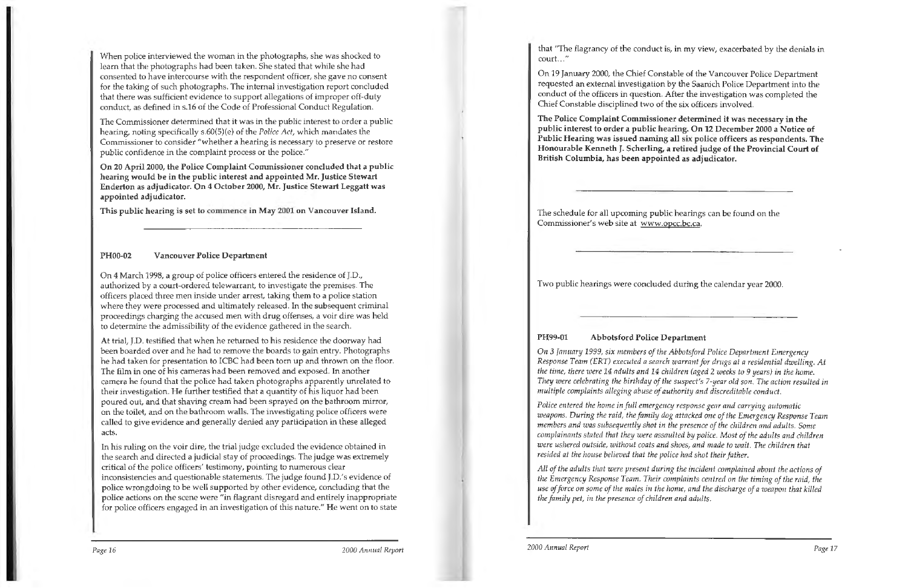When police interviewed the woman in the photographs, she was shocked to learn that the photographs had been taken. She stated that while she had consented to have intercourse with the respondent officer, she gave no consent for the taking of such photographs. The internal investigation report concluded that there was sufficient evidence to support allegations of improper off-duty conduct, as defined in s.16 of the Code of Professional Conduct Regulation.

The Commissioner determined that it was in the public interest to order a public hearing, noting specifically s.60(5)(e) of the *Police Act,* which mandates the Commissioner to consider "whether a hearing is necessary to preserve or restore public confidence in the complaint process or the police."

**On 20 April 2000, the Police Complaint Commissioner concluded that a public hearing would be in the public interest and appointed Mr. Justice Stewart Enderton as adjudicator. On 4 October 2000, Mr. Justice Stewart Leggatt was appointed adjudicator.** 

**This public hearing is set to commence in May 2001 on Vancouver Island.** 

#### **PH00-02 Vancouver Police Department**

On 4 March 1998, a group of police officers entered the residence of J.D., authorized by a court-ordered telewarrant, to investigate the premises. The officers placed three men inside under arrest, taking them to a police station where they were processed and ultimately released. In the subsequent criminal proceedings charging the accused men with drug offenses, a voir dire was held to determine the admissibility of the evidence gathered in the search.

that "The flagrancy of the conduct is, in my view, exacerbated by the denials in court ..."

At trial, J.D. testified that when he returned to his residence the doorway had been boarded over and he had to remove the boards to gain entry. Photographs he had taken for presentation to ICBC had been torn up and thrown on the floor. The film in one of his cameras had been removed and exposed. In another camera he found that the police had taken photographs apparently unrelated to their investigation. He further testified that a quantity of his liquor had been poured out, and that shaving cream had been sprayed on the bathroom mirror, on the toilet, and on the bathroom walls. The investigating police officers were called to give evidence and generally denied any participation in these alleged acts.

In his ruling on the voir dire, the trial judge excluded the evidence obtained in the search and directed a judicial stay of proceedings. The judge was extremely critical of the police officers' testimony, pointing to numerous clear inconsistencies and questionable statements. The judge found J.D.'s evidence of police wrongdoing to be well supported by other evidence, concluding that the police actions on the scene were "in flagrant disregard and entirely inappropriate for police officers engaged in an investigation of this nature." He went on to state

On 19 January 2000, the Chief Constable of the Vancouver Police Department requested an external investigation by the Saanich Police Department into the conduct of the officers in question. After the investigation was completed the Chief Constable disciplined two of the six officers involved.

**The Police Complaint Commissioner determined it was necessary in the public interest to order a public hearing. On 12 December 2000 a Notice** of **Public Hearing was issued naming all six police officers as respondents. The Honourable Kenneth** J. **Scherling, a retired judge of the Provincial Court of British Columbia, has been appointed as adjudicator.** 

The schedule for all upcoming public hearings can be found on the Commissioner's web site at www.opcc.bc.ca.

Two public hearings were concluded during the calendar year 2000.

#### **PH99-01 Abbotsford Police Department**

*On* 3 *January 1999, six members of the Abbotsford Police Department Emergency Response Team (ERT) executed a search warrant for drugs at a residential dwelling. At the time, there were 14 adults and 14 children (aged* 2 *weeks to 9 years) in the home. They were celebrating the birthday of the suspect's 7-year old son. The action resulted in multiple complaints alleging abuse of authority and discreditable conduct.* 

*Police entered the home in full emergency response gear and carrying automatic weapons. During the raid, the family dog attacked one of the Emergency Response Team members and was subsequently shot in the presence of the children and adults. Some complainants stated that they were assaulted* by *police. Most of the adults and children were ushered outside, without coats and shoes, and made to wait. The children that resided at the house believed that the police had shot their father.* 

*All of the adults that were present during the incident complained about the actions of the Emergency Response Team. Their complaints centred on the timing of the raid, the use of force on some of the males in the home, and the discharge of a weapon that killed the family pet, in the presence of children and adults.*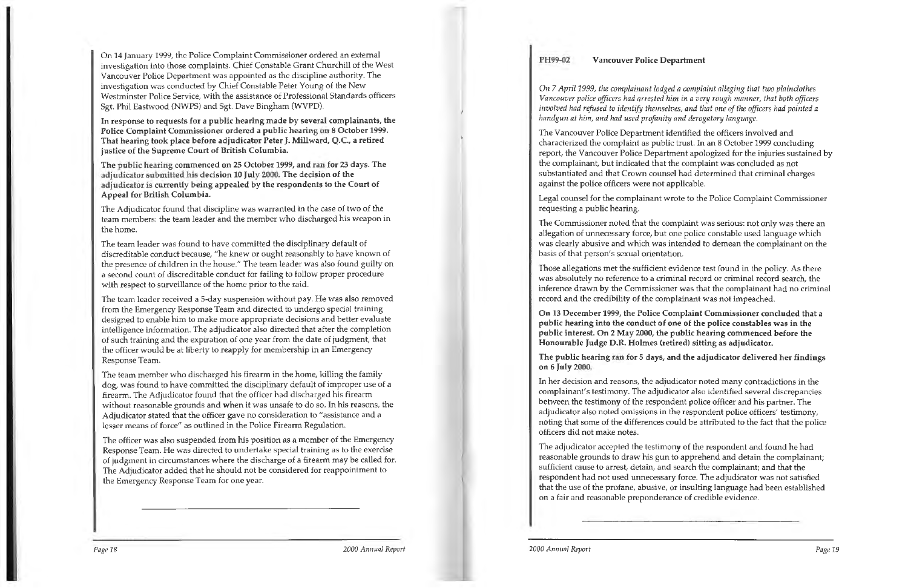On 14 January 1999, the Police Complaint Commissioner ordered an external investigation into those complaints. Chief Constable Grant Churchill of the West Vancouver Police Department was appointed as the discipline authority. The investigation was conducted by Chief Constable Peter Young of the New Westminster Police Service, with the assistance of Professional Standards officers Sgt. Phil Eastwood (NWPS) and Sgt. Dave Bingham (WVPD).

**In response to requests for a public hearing made by several complainants, the Police Complaint Commissioner ordered a public hearing on 8 October** 1999. **That hearing took place before adjudicator Peter J. Millward, Q.C., a retired justice of the Supreme Court of British Columbia.** 

**The public hearing commenced on 25 October** 1999, **and ran for 23 days. The adjudicator submitted his decision 10 July 2000. The decision of the adjudicator is currently being appealed by the respondents to the Court of Appeal for British Columbia.** 

The Adjudicator found that discipline was warranted in the case of two of the team members: the team leader and the member who discharged his weapon in the home.

The team leader was found to have committed the disciplinary default of discreditable conduct because, "he knew or ought reasonably to have known of the presence of children in the house." The team leader was also found guilty on <sup>a</sup>second count of discreditable conduct for failing to follow proper procedure with respect to surveillance of the home prior to the raid.

The team leader received a 5-day suspension without pay. He was also removed from the Emergency Response Team and directed to undergo special training designed to enable him to make more appropriate decisions and better evaluate intelligence information. The adjudicator also directed that after the completion of such training and the expiration of one year from the date of judgment, that the officer would be at liberty to reapply for membership in an Emergency Response Team.

The team member who discharged his firearm in the home, killing the family dog, was found to have committed the disciplinary default of improper use of a firearm. The Adjudicator found that the officer had discharged his firearm without reasonable grounds and when it was unsafe to do so. In his reasons, the Adjudicator stated that the officer gave no consideration to "assistance and a lesser means of force" as outlined in the Police Firearm Regulation.

The officer was also suspended from his position as a member of the Emergency Response Team. He was directed to undertake special training as to the exercise of judgment in circumstances where the discharge of a firearm may be called for. The Adjudicator added that he should not be considered for reappointment to the Emergency Response Team for one year.

#### **PH99-02 Vancouver Police Department**

*On* 7 *April 1999, the complainant lodged a complaint alleging that two plainclothes Vancouver police officers had arrested* him in *a very rough manner, that both officers involved had refused to identify themselves, and that one of the officers had pointed a handgun at him, and had used profanity and derogatory language.* 

The Vancouver Police Department identified the officers involved and characterized the complaint as public trust. In an 8 October 1999 concluding report, the Vancouver Police Department apologized for the injuries sustained by the complainant, but indicated that the complaint was concluded as not substantiated and that Crown counsel had determined that criminal charges against the police officers were not applicable.

Legal counsel for the complainant wrote to the Police Complaint Commissioner requesting a public hearing.

The Commissioner noted that the complaint was serious: not only was there an allegation of unnecessary force, but one police constable used language which was clearly abusive and which was intended to demean the complainant on the basis of that person's sexual orientation.

Those allegations met the sufficient evidence test found in the policy. As there was absolutely no reference to a criminal record or criminal record search, the inference drawn by the Commissioner was that the complainant had no criminal record and the credibility of the complainant was not impeached.

**On 13 December 1999, the Police Complaint Commissioner concluded that a**  public hearing into the conduct of one of the police constables was in the **public interest. On 2 May 2000, the public hearing commenced before the Honourable Judge D.R. Holmes (retired) sitting as adjudicator.** 

#### **The public hearing ran for 5 days, and the adjudicator delivered her findings**

on 6 **July 2000.** 

In her decision and reasons, the adjudicator noted many contradictions in the complainant's testimony. The adjudicator also identified several discrepancies between the testimony of the respondent police officer and his partner. The adjudicator also noted omissions in the respondent police officers' testimony, noting that some of the differences could be attributed to the fact that the police officers did not make notes.

The adjudicator accepted the testimony of the respondent and found he had reasonable grounds to draw his gun to apprehend and detain the complainant; sufficient cause to arrest, detain, and search the complainant; and that the respondent had not used unnecessary force. The adjudicator was not satisfied that the use of the profane, abusive, or insulting language had been established on a fair and reasonable preponderance of credible evidence.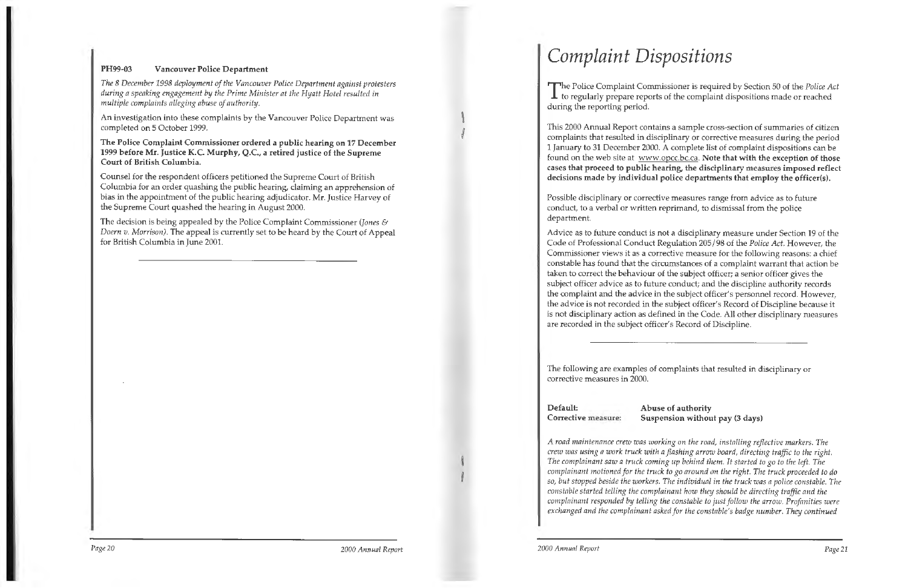#### **PH99-03 Vancouver Police Department**

*The 8 December 1998 deployment of the Vancouver Police Department against protesters during a speaking engagement by the Prime Minister at the Hyatt Hotel resulted in multiple complaints alleging abuse of authority.* 

An investigation into these complaints by the Vancouver Police Department was completed on 5 October 1999.

**The Police Complaint Commissioner ordered a public hearing on 17 December 1999 before Mr. Justice K.C. Murphy, Q.C., a retired justice of the Supreme Court of British Columbia.** 

The Police Complaint Commissioner is required by Section 50 of the *Police Act* to regularly prepare reports of the complaint dispositions made or reached during the reporting period.

Counsel for the respondent officers petitioned the Supreme Court of British Columbia for an order quashing the public hearing, claiming an apprehension of bias in the appointment of the public hearing adjudicator. Mr. Justice Harvey of the Supreme Court quashed the hearing in August 2000.

The decision is being appealed by the Police Complaint Commissioner *(Jones* & *Doern v. Morrison).* The appeal is currently set to be heard by the Court of Appeal for British Columbia in June 2001.

This 2000 Annual Report contains a sample cross-section of summaries of citizen complaints that resulted in disciplinary or corrective measures during the period 1 January to 31 December 2000. A complete list of complaint dispositions can be found on the web site at www.opcc.bc.ca. **Note that with the exception of those**  cases **that proceed to public hearing, the disciplinary measures imposed reflect decisions made by individual police departments that employ the officer(s).** 

Possible disciplinary or corrective measures range from advice as to future conduct, to a verbal or written reprimand, to dismissal from the police department.

Advice as to future conduct is not a disciplinary measure under Section 19 of the Code of Professional Conduct Regulation 205 / 98 of the *Police Act.* However, the Commissioner views it as a corrective measure for the following reasons: a chief constable has found that the circumstances of a complaint warrant that action be taken to correct the behaviour of the subject officer; a senior officer gives the subject officer advice as to future conduct; and the discipline authority records the complaint and the advice in the subject officer's personnel record. However, the advice is not recorded in the subject officer's Record of Discipline because it is not disciplinary action as defined in the Code. All other disciplinary measures are recorded in the subject officer's Record of Discipline.

The following are examples of complaints that resulted in disciplinary or corrective measures in 2000.

### **Default: Abuse of authority**

### **Corrective measure: Suspension without pay (3 days)**

*A road maintenance crew was working on the road, installing reflective markers. The crew was using a work truck with a flashing arrow board, directing traffic to the right. The complainant saw* a *truck coming up behind them. It started to go to the left. The complainant motioned for the truck to go around on the right. The truck proceeded to do so, but stopped beside the workers. The individual in the truck was a police constable. The constable started telling the complainant how they should be directing traffic and the complainant responded by telling the constable to just follow the arrow. Profanities were exchanged and the complainant asked for the constable's badge number. They continued*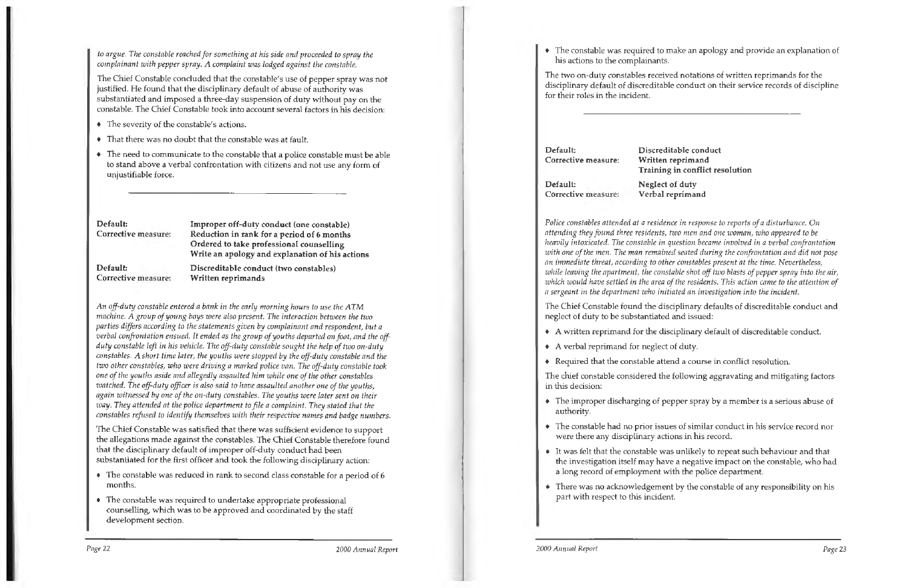*to argue. The constable reached for something at his side and proceeded to spray the complainant with pepper spray. A complaint was lodged against the constable.* 

The Chief Constable concluded that the constable's use of pepper spray was not justified. He found that the disciplinary default of abuse of authority was substantiated and imposed a three-day suspension of duty without pay on the constable. The Chief Constable took into account several factors in his decision:

- The severity of the constable's actions.
- That there was no doubt that the constable was at fault.
- The need to communicate to the constable that a police constable must be able to stand above a verbal confrontation with citizens and not use any form of unjustifiable force.

**Default: Corrective measure:** 

**Default: Corrective measure:**  **Improper off-duty conduct (one constable) Reduction in rank for a period of 6 months Ordered to take professional counselling Write an apology and explanation of his actions** 

**Discreditable conduct (two constables)** 

**Written reprimands** 

*An off-duty constable entered a bank in the early morning hours to use the ATM machine. A group of young boys were also present. The interaction between the two parties differs according to the statements given by complainant and respondent, but a verbal confrontation ensued. It ended as the group of youths departed on foot, and the offduty constable left in his vehicle. The off-duty constable sought the help of two on-duty constables.* A *short time later, the youths were stopped by the off-duty constable and the two other constables, who were driving a marked police van. The off-duty constable took one of the youths aside and allegedly assaulted him while one of the other constables watched. The off-duty officer* is *also said to have assaulted another one of the youths, again witnessed by one of the on-duty constables. The youths were later sent on their way. They attended at the police department to file a complaint. They stated that the* 

*constables refused to identify themselves with their respective names and badge numbers.* 

The Chief Constable was satisfied that there was sufficient evidence to support the allegations made against the constables. The Chief Constable therefore found that the disciplinary default of improper off-duty conduct had been substantiated for the first officer and took the following disciplinary action:

- The constable was reduced in rank to second class constable for a period of 6 months.
- The constable was required to undertake appropriate professional counselling, which was to be approved and coordinated by the staff development section.

*Page* <sup>22</sup>*2000 Annual Report* 

The constable was required to make an apology and provide an explanation of

his actions to the complainants.

The two on-duty constables received notations of written reprimands for the disciplinary default of discreditable conduct on their service records of discipline for their roles in the incident.

**Default: Conective measure:** 

**Default: Corrective measure:** 

**Discreditable conduct Written reprimand Training in conflict resolution** 

**Neglect of duty Verbal reprimand** 

*Police constables attended at a residence in response to reports of a disturbance. On attending they found three residents, two men and one woman, who appeared to be heavily intoxicated. The constable in question became involved in a verbal confrontation with one of the men. The man remained seated during the confrontation and did not pose an immediate threat, according to other constables present at the time. Nevertheless, while leaving the apartment, the constable shot off two blasts of pepper spray into the air, which would have settled in the area of the residents. This action came to the attention of a sergeant in the department who initiated an investigation into the incident.* 

The Chief Constable found the disciplinary defaults of discreditable conduct and neglect of duty to be substantiated and issued:

• A written reprimand for the disciplinary default of discreditable conduct.

- 
- A verbal reprimand for neglect of duty.
- Required that the constable attend a course in conflict resolution.

The chief constable considered the following aggravating and mitigating factors in this decision:

The improper discharging of pepper spray by a member is a serious abuse of

The constable had no prior issues of similar conduct in his service record nor

It was felt that the constable was unlikely to repeat such behaviour and that the investigation itself may have a negative impact on the constable, who had

- authority.
- were there any disciplinary actions in his record.
- a long record of employment with the police department.
- part with respect to this incident.

There was no acknowledgement by the constable of any responsibility on his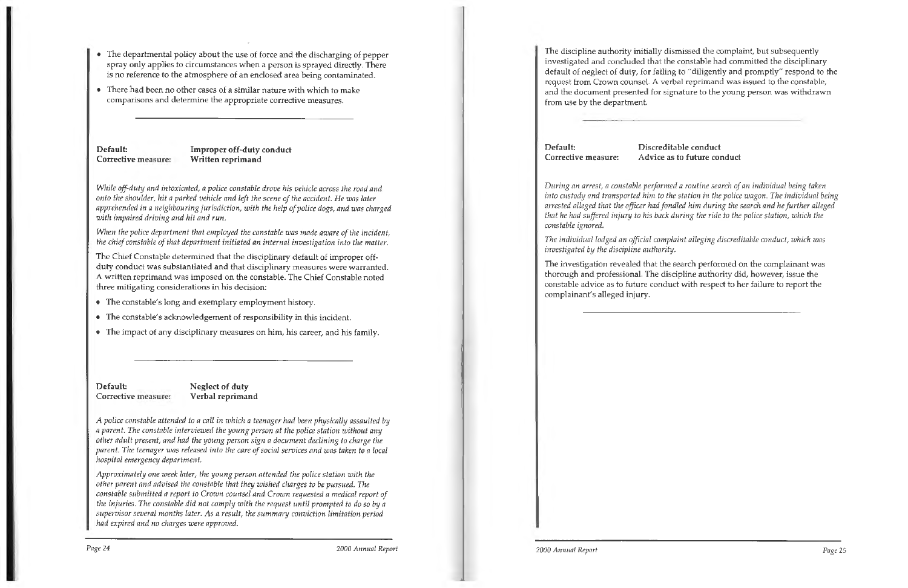- The departmental policy about the use of force and the discharging of pepper spray only applies to circumstances when a person is sprayed directly. There is no reference to the ahnosphere of an enclosed area being contaminated.
- There had been no other cases of a similar nature with which to make comparisons and determine the appropriate corrective measures.

**Default: Corrective measure:**  **Improper off-duty conduct Written reprimand** 

*While off-duty and intoxicated, a police constable drove his vehicle across the road and onto the shoulder, hit a parked vehicle and left the scene of the accident. He was later apprehended in a neighbouring jurisdiction, with the help of police dogs, and was charged with impaired driving and hit and run.* 

*When the police department that employed the constable was made aware of the incident, the chief constable of that department initiated an internal investigation into the matter.* 

The Chief Constable determined that the disciplinary default of improper offduty conduct was substantiated and that disciplinary measures were warranted. A written reprimand was imposed on the constable. The Chief Constable noted three mitigating considerations in his decision:

- The constable's long and exemplary employment history.
- The constable's acknowledgement of responsibility in this incident.
- The impact of any disciplinary measures on him, his career, and his family.

**Default: Corrective measure:**  **Neglect of duty Verbal reprimand** 

*A police constable attended* to *a call in which a teenager had been physically assaulted by a parent. The constable interviewed the young person at the police station without any other adult present, and had the young person sign a document declining to charge the parent. The teenager was released into the care of social services and was taken to a local hospital emergency department.* 

*Approximately one week later, the young person attended the police station with the other parent and advised the constable that they wished charges to be pursued. The constable submitted a report to Crown counsel and Crown requested a medical report of the injuries. The constable did not comply with the request until prompted to do so* by *<sup>a</sup> supervisor several months later. As a result, the summary conviction limitation period had expired and no charges were approved.* 

The discipline authority initially dismissed the complaint, but subsequently investigated and concluded that the constable had committed the disciplinary default of neglect of duty, for failing to "diligently and promptly" respond to the request from Crown counsel. A verbal reprimand was issued to the constable, and the document presented for signature to the young person was withdrawn from use by the department.

**Default: Corrective measure:** 

**Discreditable conduct Advice as to future conduct** 

*During an arrest, a constable performed a routine search of an individual being taken into custody and transported him to the station in the police wagon. The individual being arrested alleged that the officer had fondled him during the search and he further alleged that he had suffered injury to his back during the ride to the police station, which the constable ignored.* 

*The individual lodged an official complaint alleging discreditable conduct, which was investigated by the discipline authority.* 

The investigation revealed that the search performed on the complainant was thorough and professional. The discipline authority did, however, issue the constable advice as to future conduct with respect to her failure to report the complainant's alleged injury.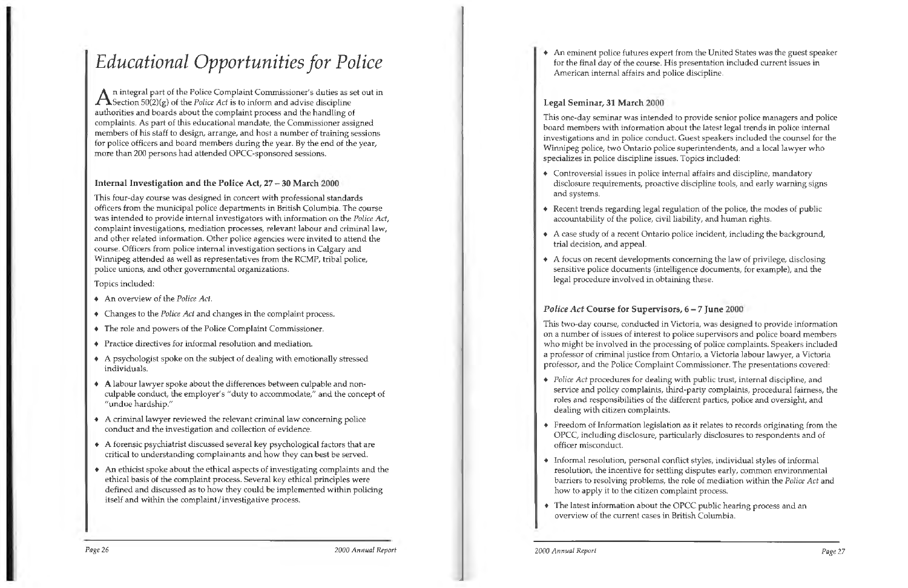## *Educational Opportunities for Police*

An integral part of the Police Complaint Commissioner's duties as set out in Section 50(2)(g) of the *Police Act* is to inform and advise discipline authorities and boards about the complaint process and the handling of complaints. As part of this educational mandate, the Commissioner assigned members of his staff to design, arrange, and host a number of training sessions for police officers and board members during the year. By the end of the year, more than 200 persons had attended OPCC-sponsored sessions.

#### **Internal Investigation and the Police Act,** 27 - **30 March 2000**

This four-day course was designed in concert with professional standards officers from the municipal police departments in British Columbia. The course was intended to provide internal investigators with information on the *Police Act,*  complaint investigations, mediation processes, relevant labour and criminal law, and other related information. Other police agencies were invited to attend the course. Officers from police internal investigation sections in Calgary and Winnipeg attended as well as representatives from the RCMP, tribal police, police unions, and other governmental organizations.

Topics included:

- An overview of the *Police Act.*
- Changes to the *Police Act* and changes in the complaint process.
- The role and powers of the Police Complaint Commissioner.
- Practice directives for informal resolution and mediation.
- A psychologist spoke on the subject of dealing with emotionally stressed individuals.
- A labour lawyer spoke about the differences between culpable and nonculpable conduct, the employer's "duty to accommodate," and the concept of "undue hardship."
- A criminal lawyer reviewed the relevant criminal law concerning police conduct and the investigation and collection of evidence.
- A forensic psychiatrist discussed several key psychological factors that are critical to understanding complainants and how they can best be served.
- An ethicist spoke about the ethical aspects of investigating complaints and the ethical basis of the complaint process. Several key ethical principles were defined and discussed as to how they could be implemented within policing itself and within the complaint/investigative process.

*Page* 26 *2000 Annual Report* 

An eminent police futures expert from the United States was the guest speaker for the final day of the course. His presentation included current issues in

American internal affairs and police discipline.

#### **Legal Seminar, 31 March 2000**

This one-day seminar was intended to provide senior police managers and police board members with information about the latest legal trends in police internal investigations and in police conduct. Guest speakers included the counsel for the Winnipeg police, two Ontario police superintendents, and a local lawyer who specializes in police discipline issues. Topics included:

Controversial issues in police internal affairs and discipline, mandatory disclosure requirements, proactive discipline tools, and early warning signs

 $\bullet$  Recent trends regarding legal regulation of the police, the modes of public

A case study of a recent Ontario police incident, including the background,

- and systems.
- accountability of the police, civil liability, and human rights.
- trial decision, and appeal.
- legal procedure involved in obtaining these.

A focus on recent developments concerning the law of privilege, disclosing sensitive police documents (intelligence documents, for example), and the

### *Police Act* **Course for Supervisors, 6** - *7* **June 2000**

This two-day course, conducted in Victoria, was designed to provide information on a number of issues of interest to police supervisors and police board members who might be involved in the processing of police complaints. Speakers included a professor of criminal justice from Ontario, a Victoria labour lawyer, a Victoria professor, and the Police Complaint Commissioner. The presentations covered:

*Police Act* procedures for dealing with public trust, internal discipline, and service and policy complaints, third-party complaints, procedural fairness, the roles and responsibilities of the different parties, police and oversight, and

Freedom of Information legislation as it relates to records originating from the OPCC, including disclosure, particularly disclosures to respondents and of

- dealing with citizen complaints.
- officer misconduct.
- how to apply it to the citizen complaint process.
- overview of the current cases in British Columbia.

Informal resolution, personal conflict styles, individual styles of informal resolution, the incentive for settling disputes early, common environmental barriers to resolving problems, the role of mediation within the *Police Act* and

The latest information about the OPCC public hearing process and an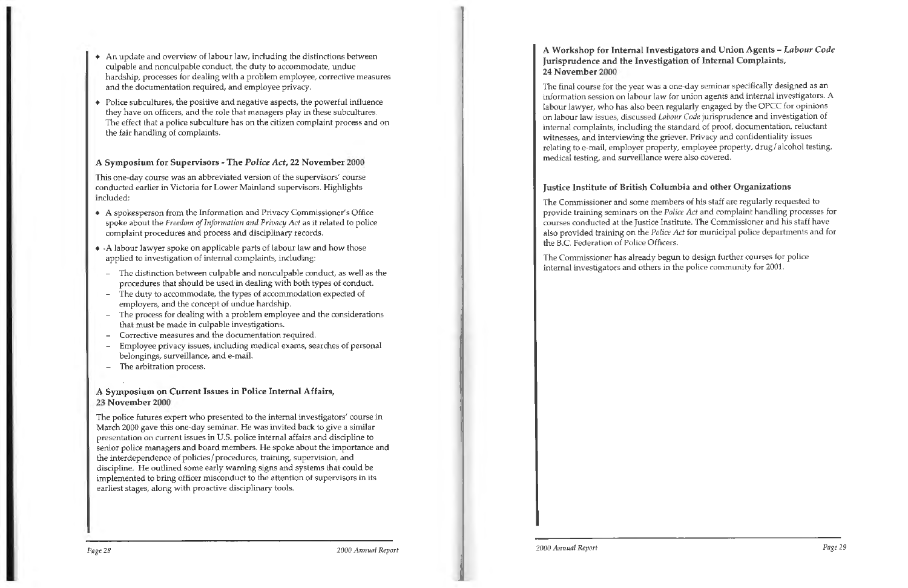- An update and overview of labour law, including the distinctions between culpable and nonculpable conduct, the duty to accommodate, undue hardship, processes for dealing with a problem employee, corrective measures and the documentation required, and employee privacy.
- Police subcultures, the positive and negative aspects, the powerful influence they have on officers, and the role that managers play in these subcultures. The effect that a police subculture has on the citizen complaint process and on the fair handling of complaints.

#### A Symposium for Supervisors - The *Police Act,* 22 November 2000

This one-day course was an abbreviated version of the supervisors' course conducted earlier in Victoria for Lower Mainland supervisors. Highlights included:

- A spokesperson from the Information and Privacy Commissioner's Office spoke about the *Freedom of Information and Privacy Act* as it related to police complaint procedures and process and disciplinary records.
- <sup>+</sup>-A labour lawyer spoke on applicable parts of labour law and how those applied to investigation of internal complaints, including:
	- The distinction between culpable and nonculpable conduct, as well as the procedures that should be used in dealing with both types of conduct.
	- The duty to accommodate, the types of accommodation expected of employers, and the concept of undue hardship.
	- The process for dealing with a problem employee and the considerations that must be made in culpable investigations.
	- Corrective measures and the documentation required.
	- Employee privacy issues, including medical exams, searches of personal belongings, surveillance, and e-mail.
	- The arbitration process.

#### **A Symposium on Current Issues in Police Internal Affairs, 23 November 2000**

The police futures expert who presented to the internal investigators' course in March 2000 gave this one-day seminar. He was invited back to give a similar presentation on current issues in U.S. police internal affairs and discipline to senior police managers and board members. He spoke about the importance and the interdependence of policies/ procedures, training, supervision, and discipline. He outlined some early warning signs and systems that could be implemented to bring officer misconduct to the attention of supervisors in its earliest stages, along with proactive disciplinary tools.

### **A Workshop for Internal Investigators and Union Agents-** *Labour Code*  **Jurisprudence and the Investigation of Internal Complaints, 24 November 2000**

The final course for the year was a one-day seminar specifically designed as an information session on labour law for union agents and internal investigators. A labour lawyer, who has also been regularly engaged by the OPCC for opinions on labour law issues, discussed *Labour Code* jurisprudence and investigation of internal complaints, including the standard of proof, documentation, reluctant witnesses, and interviewing the griever. Privacy and confidentiality issues relating to e-mail, employer property, employee property, drug/ alcohol testing, medical testing, and surveillance were also covered.

### **Justice Institute of British Columbia and other Organizations**

The Commissioner and some members of his staff are regularly requested to provide training seminars on the *Police Act* and complaint handling processes for courses conducted at the Justice Institute. The Commissioner and his staff have also provided training on the *Police Act* for municipal police departments and for the B.C. Federation of Police Officers.

The Commissioner has already begun to design further courses for police internal investigators and others in the police community for 2001.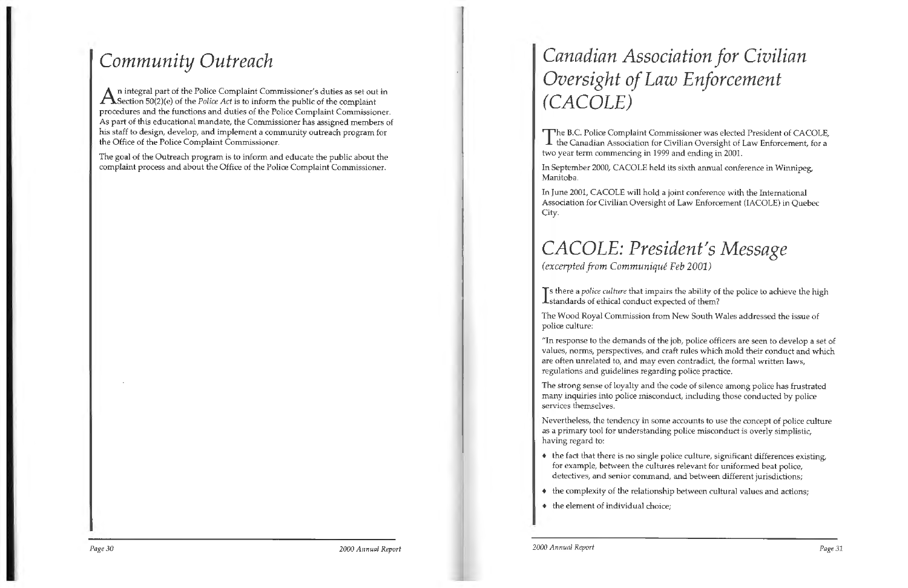## *Community Outreach*

 $A$ n integral part of the Police Complaint Commissioner's duties as set out in Section 50(2)(e) of the *Police Act* is to inform the public of the complaint procedures and the functions and duties of the Police Complaint Commissioner. As part of this educational mandate, the Commissioner has assigned members of his staff to design, develop, and implement a community outreach program for the Office of the Police Complaint Commissioner.

The B.C. Police Complaint Commissioner was elected President of CACOLE, the Canadian Association for Civilian Oversight of Law Enforcement, for a two year term commencing in 1999 and ending in 2001.

The goal of the Outreach program is to inform and educate the public about the complaint process and about the Office of the Police Complaint Commissioner.

> In June 2001, CACOLE will hold a joint conference with the International Association for Civilian Oversight of Law Enforcement (IACOLE) in Quebec City.

## *Canadian Association for Civilian Oversight of Law Enforcement*  **(CACOLE)**

In September 2000, CACOLE held its sixth annual conference in Winnipeg, Manitoba.

 $\bullet$  the fact that there is no single police culture, significant differences existing, for example, between the cultures relevant for uniformed beat police, detectives, and senior command, and between different jurisdictions;

### *CACOLE: President's Message (excerpted from Communique Feb 2001)*

If there a *police culture* that impairs the ability of the police to achieve the high standards of ethical conduct expected of them?

The Wood Royal Commission from New South Wales addressed the issue of police culture:

"In response to the demands of the job, police officers are seen to develop a set of values, norms, perspectives, and craft rules which mold their conduct and which are often unrelated to, and may even contradict, the formal written laws, regulations and guidelines regarding police practice.

The strong sense of loyalty and the code of silence among police has frustrated many inquiries into police misconduct, including those conducted by police services themselves.

Nevertheless, the tendency in some accounts to use the concept of police culture as a primary tool for understanding police misconduct is overly simplistic, having regard to:

- 
- 
- $\bullet$  the element of individual choice;

• the complexity of the relationship between cultural values and actions;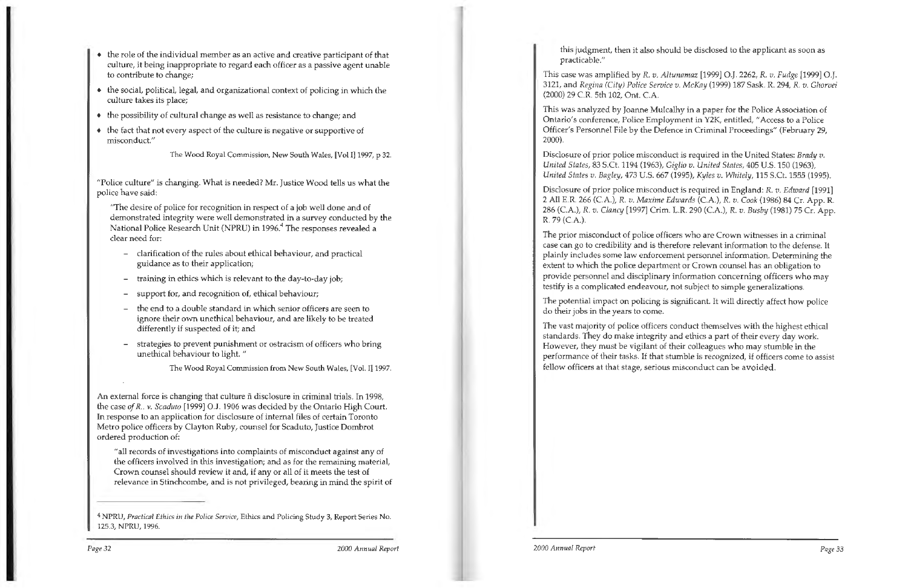- the role of the individual member as an active and creative participant of that culture, it being inappropriate to regard each officer as a passive agent unable to contribute to change;
- $\bullet$  the social, political, legal, and organizational context of policing in which the culture takes its place;
- $\bullet$  the possibility of cultural change as well as resistance to change; and
- $\bullet$  the fact that not every aspect of the culture is negative or supportive of misconduct."

The Wood Royal Commission, New South Wales, [Vol I] 1997, p 32.

"Police culture" is changing. What is needed? Mr. Justice Wood tells us what the police have said:

"The desire of police for recognition in respect of a job well done and of demonstrated integrity were well demonstrated in a survey conducted by the National Police Research Unit (NPRU) in 1996.<sup>4</sup> The responses revealed a clear need for:

- clarification of the rules about ethical behaviour, and practical guidance as to their application;
- training in ethics which is relevant to the day-to-day job;
- support for, and recognition of, ethical behaviour;
- the end to a double standard in which senior officers are seen to ignore their own unethical behaviour, and are likely to be treated differently if suspected of it; and
- strategies to prevent punishment or ostracism of officers who bring unethical behaviour to light. "

The Wood Royal Commission from New South Wales, [Vol. I] 1997.

An external force is changing that culture fi disclosure in criminal trials. In 1998, the case of R.. v. Scaduto [1999] O.J. 1906 was decided by the Ontario High Court. In response to an application for disclosure of internal files of certain Toronto Metro police officers by Clayton Ruby, counsel for Scaduto, Justice Dombrot ordered production of:

"all records of investigations into complaints of misconduct against any of the officers involved in this investigation; and as for the remaining material, Crown counsel should review it and, if any or all of it meets the test of relevance in Stinchcombe, and is not privileged, bearing in mind the spirit of

this judgment, then it also should be disclosed to the applicant as soon as practicable."

This case was amplified by R. *v. Altunamaz* [1999] O.J. 2262, *R. v. Fudge* 11999] O.J. 3121, and *Regina* (City) *Police Service v. McKay* (1999) 187 Sask. R. 294, *R. v. Ghorvei*  (2000) 29 C.R. 5th 102, Ont. C.A.

This was analyzed by Joanne Mulcalhy in a paper for the Police Association of Ontario's conference, Police Employment in Y2K, entitled, "Access *to* a Police Officer's Personnel File by the Defence in Criminal Proceedings" (February 29, 2000).

Disclosure of prior police misconduct is required in the United States: *Brady v. United States,* 83 S.Ct. 1194 (1963), *Giglio v. United States,* 405 U.S. 150 (1963), *United States v. Bagley,* 473 U.S. 667 (1995), *Kyles v. Whitely,* 115 S.Ct. 1555 (1995).

Disclosure of prior police misconduct is required in England: R. v. Edward [1991] 2 All E.R. 266 (CA.), *R.* v. *Maxime* Edwards (C.A.), *R.* v. *Cook* (1986) 84 Cr. App. R. 286 (CA.), R. *v. Clancy* [1997] Crim. L.R. 290 (C.A.), *R. v. Busby* (1981) 75 Cr. App. R. 79 (CA.).

The prior misconduct of police officers who are Crown witnesses in a criminal case can go to credibility and is therefore relevant information to the defense. It plainly includes some law enforcement personnel information. Determining the extent to which the police department or Crown counsel has an obligation to provide personnel and disciplinary information concerning officers who may testify is a complicated endeavour, not subject to simple generalizations.

The potential impact on policing is significant. It will directly affect how police do their jobs in the years to come.

The vast majority of police officers conduct themselves with the highest ethical standards. They do make integrity and ethics a part of their every day work. However, they must be vigilant of their colleagues who may stumble in the performance of their tasks. If that stumble is recognized, if officers come to assist fellow officers at that stage, serious misconduct can be avoided.

<sup>4</sup>NPRU, *Practical Ethics in the Police Service,* Ethics and Policing Study 3, Report Series No. 125.3, NPRU, 1996.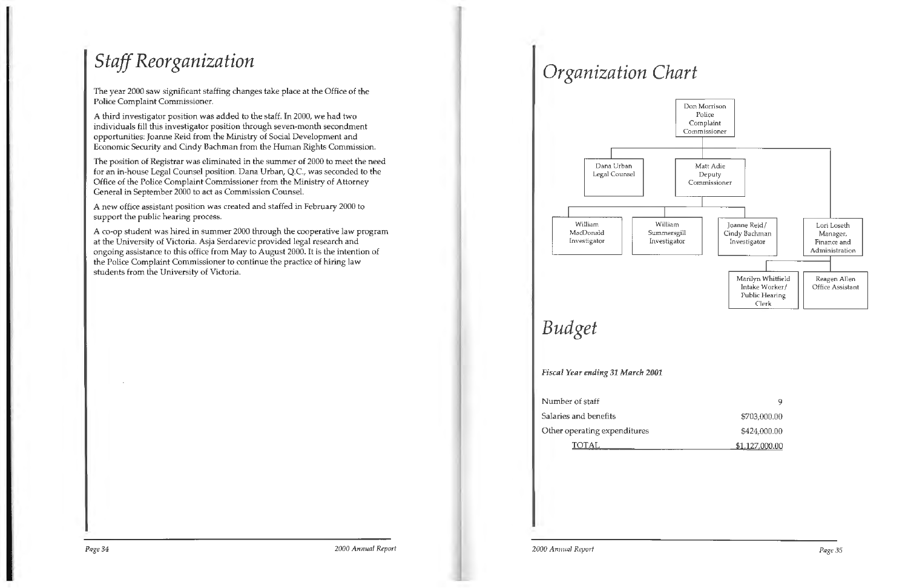## *Staff Reorganization*

The year 2000 saw significant staffing changes take place at the Office of the Police Complaint Commissioner.

A third investigator position was added to the staff. In 2000, we had two individuals fill this investigator position through seven-month secondment opportunities: Joanne Reid from the Ministry of Social Development and Economic Security and Cindy Bachman from the Human Rights Commission.

The position of Registrar was eliminated in the summer of 2000 to meet the need for an in-house Legal Counsel position. Dana Urban, Q.C., was seconded to the Office of the Police Complaint Commissioner from the Ministry of Attorney General in September 2000 to act as Commission Counsel.

A new office assistant position was created and staffed in February 2000 to support the public hearing process.

A co-op student was hired in summer 2000 through the cooperative law program at the University of Victoria. Asja Serdarevic provided legal research and ongoing assistance to this office from May to August 2000. It is the intention of the Police Complaint Commissioner to continue the practice of hiring law students from the University of Victoria.

## *Organization Chart*

## *Budget*

*Fiscal Year ending 31 March 2001* 

Number of staff

Salaries and benefits

Other operating expenditures



TOTAL

9 \$703,000.00 \$424,000.00 \$1.127.000 .00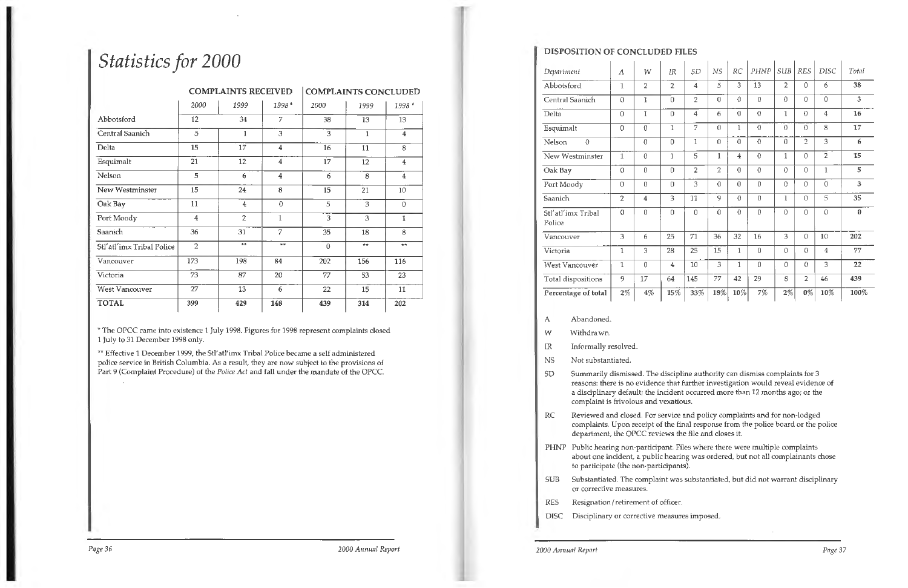## *Statistics for 2000*

\*\* Effective 1 December 1999, the Stl'atl'imx Tribal Police became a self administered police service in British Columbia. As a result, they are now subject to the provisions of Part 9 (Complaint Procedure) of the *Police Act* and fall under the mandate of the OPCC.

|                           |                | <b>COMPLAINTS RECEIVED</b> |                | <b>COMPLAINTS CONCLUDED</b> |              |                |  |
|---------------------------|----------------|----------------------------|----------------|-----------------------------|--------------|----------------|--|
|                           | 2000           | 1999                       | 1998*          | 2000                        | 1999         | 1998 *         |  |
| Abbotsford                | 12             | 34                         | 7              | 38                          | 13           | 13             |  |
| Central Saanich           | 5              | $1\,$                      | 3              | 3                           | $\mathbf{1}$ | $\bf{4}$       |  |
| Delta                     | 15             | 17                         | $\overline{4}$ | 16                          | 11           | 8              |  |
| Esquimalt                 | 21             | 12                         | $\overline{4}$ | 17                          | 12           | $\overline{4}$ |  |
| Nelson                    | 5              | 6                          | $\overline{4}$ | 6                           | 8            | $\overline{4}$ |  |
| New Westminster           | 15             | 24                         | 8              | 15                          | 21           | 10             |  |
| Oak Bay                   | 11             | $\overline{4}$             | $\theta$       | 5                           | 3            | 0              |  |
| Port Moody                | $\overline{4}$ | $\overline{2}$             | $\mathbf{1}$   | 3                           | 3            | 1              |  |
| Saanich                   | 36             | 31                         | 7              | 35                          | 18           | 8              |  |
| Stl'atl'imx Tribal Police | $\overline{2}$ | $***$                      | $**$           | $\theta$                    | $***$        | **             |  |
| Vancouver                 | 173            | 198                        | 84             | 202                         | 156          | 116            |  |
| Victoria                  | 73             | 87                         | 20             | 77                          | 53           | 23             |  |
| <b>West Vancouver</b>     | 27             | 13                         | 6              | 22                          | 15           | 11             |  |
| <b>TOTAL</b>              | 399            | 429                        | 148            | 439                         | 314          | 202            |  |

\* The OPCC came into existence 1 July 1998. Figures for 1998 represent complaints closed 1 July to 31 December 1998 only.

*Page* 36 *2000 Annual Report* 

SD Summarily dismissed. The discipline authority can dismiss complaints for 3 reasons: there is no evidence that further investigation would reveal evidence of a disciplinary default; the incident occurred more than 12 months ago; or the

#### **DISPOSITION OF CONCLUDED FILES**

| Department                   | Α              | W                       | IR             | SD             | $_{NS}$        | RC             | PHNP           | SUB            | <b>RES</b>     | <b>DISC</b>    | Total    |
|------------------------------|----------------|-------------------------|----------------|----------------|----------------|----------------|----------------|----------------|----------------|----------------|----------|
| Abbotsford                   | $\mathbf{1}$   | $\overline{2}$          | $\overline{2}$ | 4              | 5              | 3              | 13             | $\overline{2}$ | 0              | 6              | 38       |
| Central Saanich              | $\theta$       | 1                       | $\overline{0}$ | $\overline{2}$ | 0              | $\theta$       | $\theta$       | 0              | 0              | $\theta$       | 3        |
| Delta                        | 0              | $\mathbf 1$             | $\theta$       | 4              | 6              | $\theta$       | $\theta$       | 1              | $\theta$       | $\overline{4}$ | 16       |
| Esquimalt                    | 0              | $\Omega$                | 1              | 7              | $\Omega$       | 1              | 0              | 0              | 0              | 8              | 17       |
| Nelson<br>$\theta$           |                | $\theta$                | $\theta$       | $\mathbf{1}$   | $\theta$       | $\theta$       | $\theta$       | 0              | $\overline{2}$ | 3              | 6        |
| New Westminster              | $\mathbf{1}$   | 0                       | $\mathbf{1}$   | 5              | $\mathbf 1$    | 4              | $\theta$       | $\mathbf{1}$   | $\Omega$       | $\overline{2}$ | 15       |
| Oak Bay                      | $\theta$       | $\theta$                | $\theta$       | 2              | $\overline{2}$ | $\overline{0}$ | $\theta$       | $\Omega$       | $\theta$       | 1              | 5        |
| Port Moody                   | $\theta$       | $\Omega$                | $\Omega$       | 3              | 0              | $\theta$       | 0              | $\theta$       | $\theta$       | 0              | 3        |
| Saanich                      | $\overline{2}$ | $\overline{\mathbf{4}}$ | 3              | 11             | 9              | $\theta$       | $\theta$       | 1              | $\theta$       | 5              | 35       |
| Stl'atl'imx Tribal<br>Police | $\overline{0}$ | $\theta$                | $\overline{0}$ | $\theta$       | $\theta$       | $\theta$       | $\theta$       | $\Omega$       | 0              | $\theta$       | $\bf{0}$ |
| Vancouver                    | 3              | 6                       | 25             | 71             | 36             | 32             | 16             | 3              | $\theta$       | 10             | 202      |
| Victoria                     | 1              | 3                       | 28             | 25             | 15             | $\mathbf{1}$   | $\overline{0}$ | $\Omega$       | 0              | 4              | 77       |
| West Vancouver               | $\mathbf 1$    | 0                       | $\overline{4}$ | 10             | 3              | $\mathbf{1}$   | $\theta$       | $\Omega$       | 0              | 3              | 22       |
| Total dispositions           | 9              | 17                      | 64             | 145            | 77             | 42             | 29             | 8              | $\overline{2}$ | 46             | 439      |
| Percentage of total          | $2\%$          | 4%                      | 15%            | 33%            | $18\%$         | $10\%$         | 7%             | $2\%$          | $0\%$          | $10\%$         | 100%     |

RC Reviewed and closed. For service and policy complaints and for non-lodged complaints. Upon receipt of the final response from the police board or the police department, the OPCC reviews the file and closes it.

- A Abandoned.
- W Withdrawn.
- IR Informally resolved.
- NS Not substantiated.
- complaint is frivolous and vexatious.
- 
- to participate (the non-participants).
- or corrective measures.
- RES Resignation/ retirement of officer.
- DISC Disciplinary or corrective measures imposed.

PHNP Public hearing non-participant. Files where there were multiple complaints about one incident, a public hearing was ordered, but not all complainants chose

SUB Substantiated. The complaint was substantiated, but did not warrant disciplinary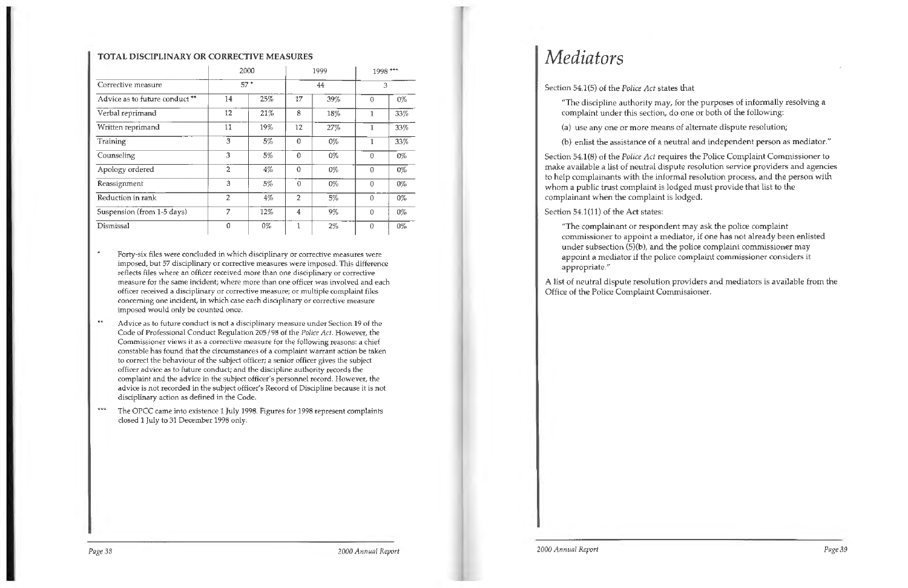#### **TOT AL DISCIPLINARY OR CORRECTIVE MEASURES**

Forty-six files were concluded in which disciplinary or corrective measures were imposed, but 57 disciplinary or corrective measures were imposed. This difference reflects files where an officer received more than one disciplinary or corrective measure for the same incident; where more than one officer was involved and each officer received a disciplinary or corrective measure; or multiple complaint files concerning one incident, in which case each disciplinary or corrective measure imposed would only be counted once.

 $\star$ Advice as to future conduct is not a disciplinary measure under Section 19 of the Code of Professional Conduct Regulation 205/98 of the *Police Act.* However, the Commissioner views it as a corrective measure for the following reasons: a chief constable has found that the circumstances of a complaint warrant action be taken to correct the behaviour of the subject officer; a senior officer gives the subject officer advice as to future conduct; and the discipline authority records the complaint and the advice in the subject officer's personnel record. However, the advice is not recorded in the subject officer's Record of Discipline because it is not disciplinary action as defined in the Code.

|                                |                | 2000  |                | 1999  | 1998 ***<br>3 |       |
|--------------------------------|----------------|-------|----------------|-------|---------------|-------|
| Corrective measure             |                | $57*$ |                | 44    |               |       |
| Advice as to future conduct ** | 14             | 25%   | 17             | 39%   | $\theta$      | 0%    |
| Verbal reprimand               | 12             | 21%   | 8              | 18%   | 1             | 33%   |
| Written reprimand              | 11             | 19%   | 12             | 27%   | 1             | 33%   |
| Training                       | 3              | 5%    | 0              | $0\%$ | 1             | 33%   |
| Counseling                     | 3              | 5%    | 0              | $0\%$ | $\theta$      | $0\%$ |
| Apology ordered                | $\overline{c}$ | 4%    | $\Omega$       | 0%    | $\Omega$      | $0\%$ |
| Reassignment                   | 3              | 5%    | $\Omega$       | $0\%$ | $\Omega$      | $0\%$ |
| Reduction in rank              | $\overline{2}$ | 4%    | $\overline{2}$ | 5%    | $\theta$      | $0\%$ |
| Suspension (from 1-5 days)     | 7              | 12%   | 4              | $9\%$ | 0             | 0%    |
| Dismissal                      | 0              | $0\%$ | 1              | $2\%$ | $\theta$      | $0\%$ |

The OPCC came into existence 1 July 1998. Figures for 1998 represent complaints closed 1 July to 31 December 1998 only.

*Page38* 2000 *Annual Report* 

## *Mediators*

Section 54.1(5) of the *Police Act* states that

- 
- 

"The discipline authority may, for the purposes of informally resolving a complaint under this section, do one or both of the following:

(a) use any one or more means of alternate dispute resolution;

(b) enlist the assistance of a neutral and independent person as mediator."

Section 54.1(8) of the *Police Act* requires the Police Complaint Commissioner to make available a list of neutral dispute resolution service providers and agencies to help complainants with the informal resolution process, and the person with whom a public trust complaint is lodged must provide that list to the complainant when the complaint is lodged.

Section 54.1(11) of the Act states:

"The complainant or respondent may ask the police complaint commissioner to appoint a mediator, if one has not already been enlisted under subsection (S)(b), and the police complaint commissioner may appoint a mediator if the police complaint commissioner considers it appropriate."

A list of neutral dispute resolution providers and mediators is available from the Office of the Police Complaint Commissioner.